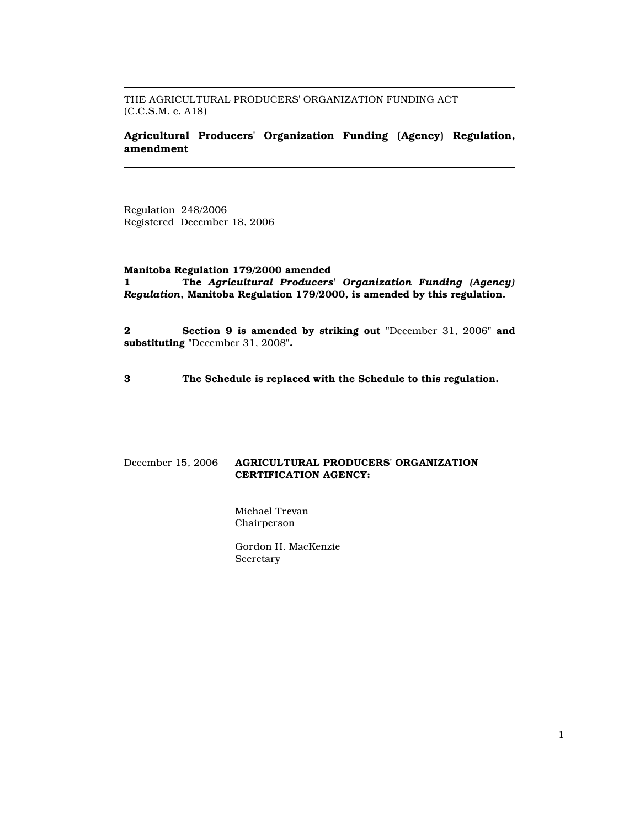THE AGRICULTURAL PRODUCERS' ORGANIZATION FUNDING ACT (C.C.S.M. c. A18)

# Agricultural Producers' Organization Funding (Agency) Regulation, amendment

Regulation 248/2006 Registered December 18, 2006

#### Manitoba Regulation 179/2000 amended

1 The Agricultural Producers' Organization Funding (Agency) Regulation, Manitoba Regulation 179/2000, is amended by this regulation.

2 Section 9 is amended by striking out "December 31, 2006" and substituting "December 31, 2008".

3 The Schedule is replaced with the Schedule to this regulation.

# December 15, 2006 AGRICULTURAL PRODUCERS' ORGANIZATION CERTIFICATION AGENCY:

Michael Trevan Chairperson

Gordon H. MacKenzie Secretary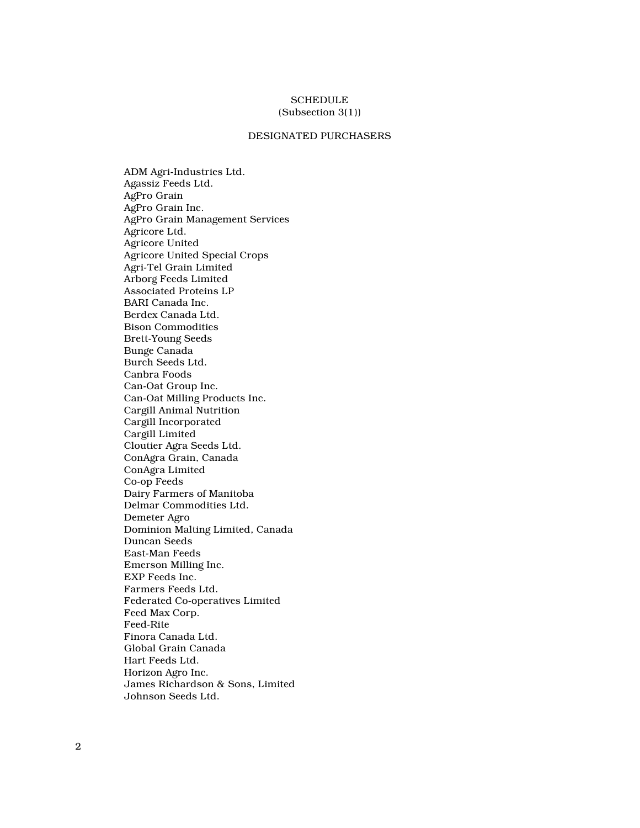### **SCHEDULE** (Subsection 3(1))

## DESIGNATED PURCHASERS

ADM Agri-Industries Ltd. Agassiz Feeds Ltd. AgPro Grain AgPro Grain Inc. AgPro Grain Management Services Agricore Ltd. Agricore United Agricore United Special Crops Agri-Tel Grain Limited Arborg Feeds Limited Associated Proteins LP BARI Canada Inc. Berdex Canada Ltd. Bison Commodities Brett-Young Seeds Bunge Canada Burch Seeds Ltd. Canbra Foods Can-Oat Group Inc. Can-Oat Milling Products Inc. Cargill Animal Nutrition Cargill Incorporated Cargill Limited Cloutier Agra Seeds Ltd. ConAgra Grain, Canada ConAgra Limited Co-op Feeds Dairy Farmers of Manitoba Delmar Commodities Ltd. Demeter Agro Dominion Malting Limited, Canada Duncan Seeds East-Man Feeds Emerson Milling Inc. EXP Feeds Inc. Farmers Feeds Ltd. Federated Co-operatives Limited Feed Max Corp. Feed-Rite Finora Canada Ltd. Global Grain Canada Hart Feeds Ltd. Horizon Agro Inc. James Richardson & Sons, Limited Johnson Seeds Ltd.